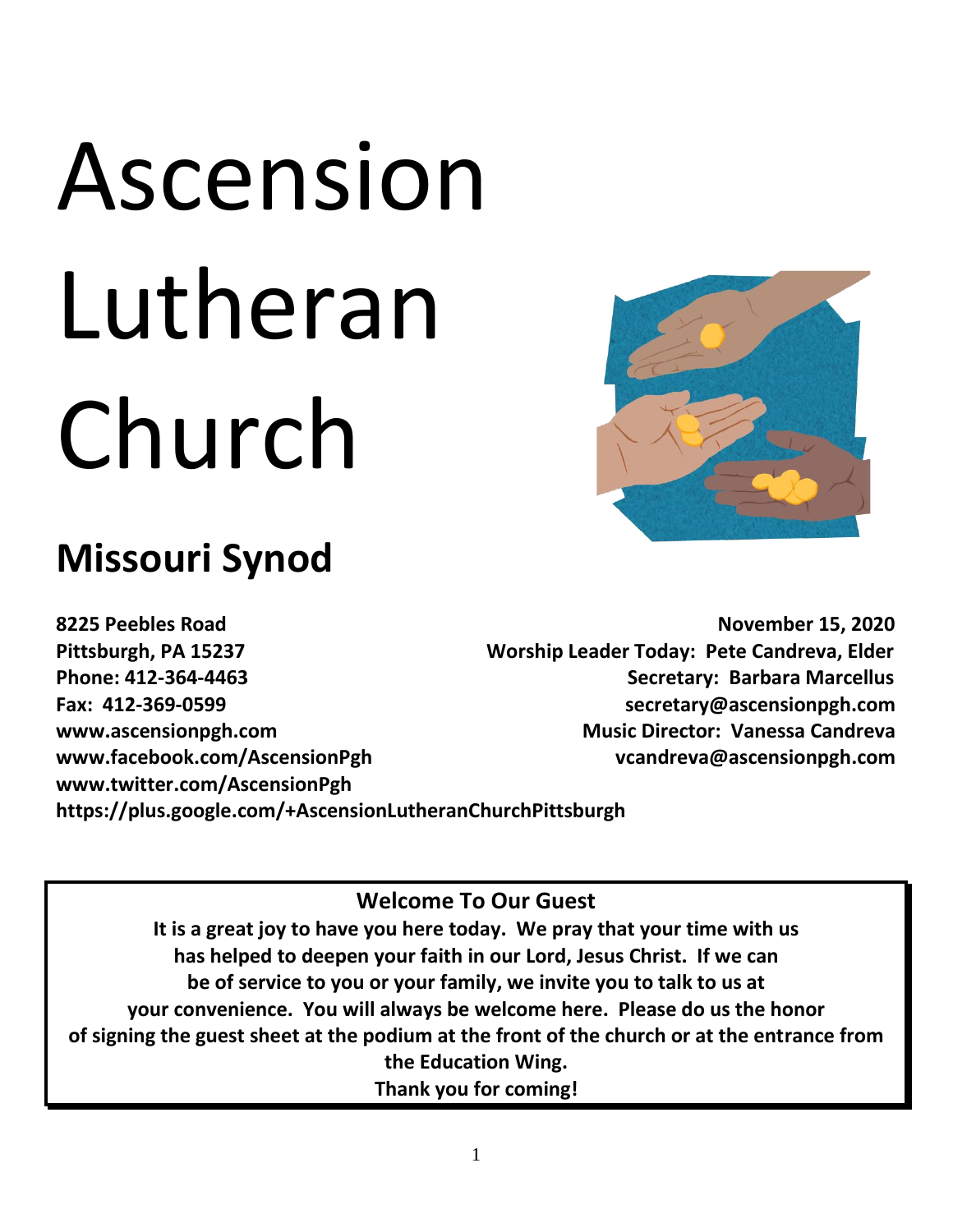# Ascension Lutheran Church

## **Missouri Synod**

**8225 Peebles Road November 15, 2020 Pittsburgh, PA 15237 Worship Leader Today: Pete Candreva, Elder Phone: 412-364-4463 Secretary: Barbara Marcellus Fax: 412-369-0599 secretary@ascensionpgh.com**  www.ascensionpgh.com **Music Director: Vanessa Candreva Music Director: Vanessa Candreva** www.facebook.com/AscensionPgh vcandreva@ascensionpgh.com **www.twitter.com/AscensionPgh https://plus.google.com/+AscensionLutheranChurchPittsburgh**

#### **Welcome To Our Guest**

**It is a great joy to have you here today. We pray that your time with us has helped to deepen your faith in our Lord, Jesus Christ. If we can be of service to you or your family, we invite you to talk to us at your convenience. You will always be welcome here. Please do us the honor of signing the guest sheet at the podium at the front of the church or at the entrance from the Education Wing.**

**Thank you for coming!**

1

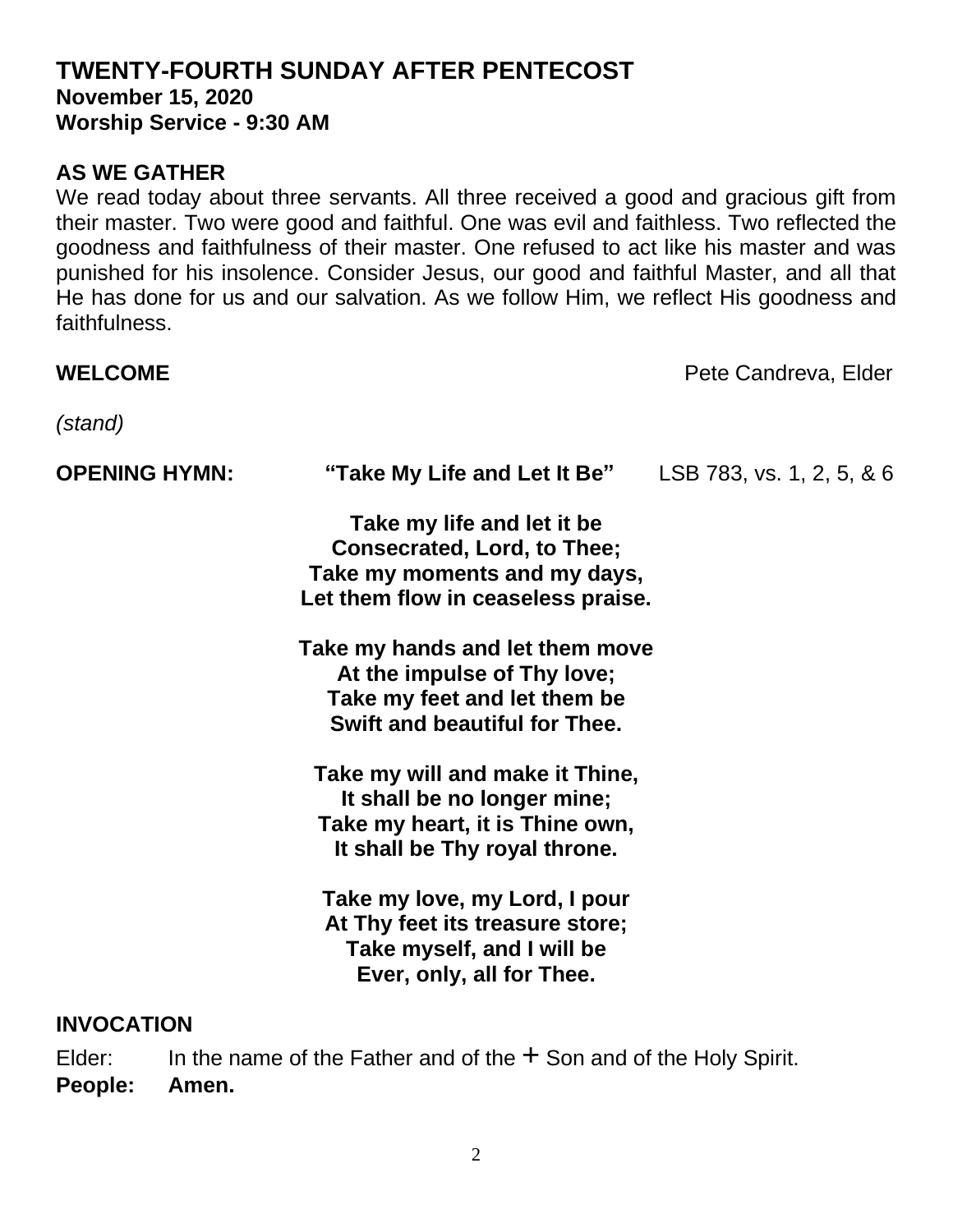#### **TWENTY-FOURTH SUNDAY AFTER PENTECOST November 15, 2020 Worship Service - 9:30 AM**

#### **AS WE GATHER**

We read today about three servants. All three received a good and gracious gift from their master. Two were good and faithful. One was evil and faithless. Two reflected the goodness and faithfulness of their master. One refused to act like his master and was punished for his insolence. Consider Jesus, our good and faithful Master, and all that He has done for us and our salvation. As we follow Him, we reflect His goodness and faithfulness.

### **WELCOME Pete Candreva**, Elder *(stand)* **OPENING HYMN: "Take My Life and Let It Be"**LSB 783, vs. 1, 2, 5, & 6 **Take my life and let it be Consecrated, Lord, to Thee; Take my moments and my days, Let them flow in ceaseless praise. Take my hands and let them move At the impulse of Thy love; Take my feet and let them be Swift and beautiful for Thee. Take my will and make it Thine, It shall be no longer mine; Take my heart, it is Thine own, It shall be Thy royal throne. Take my love, my Lord, I pour At Thy feet its treasure store; Take myself, and I will be Ever, only, all for Thee.**

#### **INVOCATION**

Elder: In the name of the Father and of the  $+$  Son and of the Holy Spirit. **People: Amen.**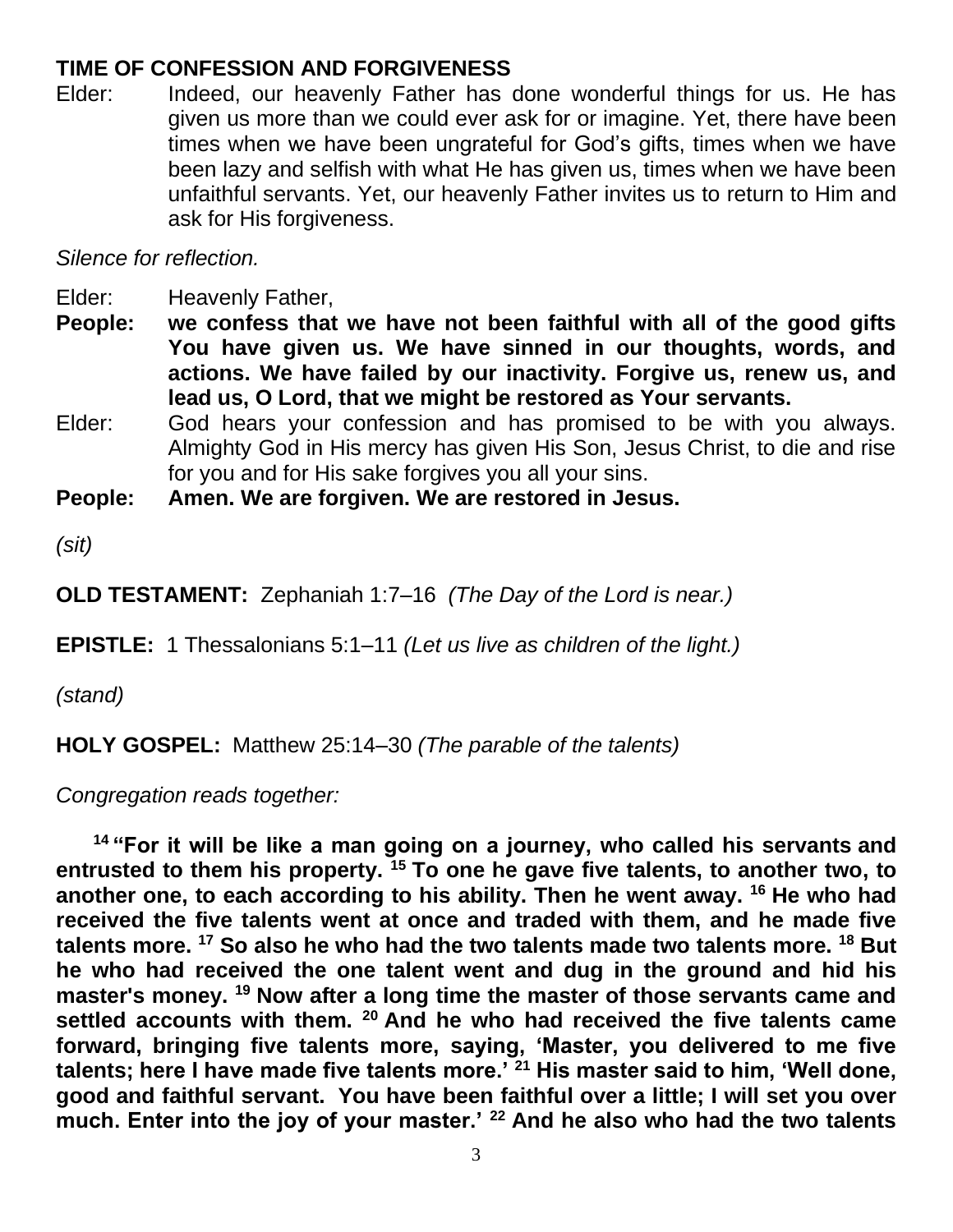#### **TIME OF CONFESSION AND FORGIVENESS**

Elder: Indeed, our heavenly Father has done wonderful things for us. He has given us more than we could ever ask for or imagine. Yet, there have been times when we have been ungrateful for God's gifts, times when we have been lazy and selfish with what He has given us, times when we have been unfaithful servants. Yet, our heavenly Father invites us to return to Him and ask for His forgiveness.

#### *Silence for reflection.*

Elder: Heavenly Father,

**People: we confess that we have not been faithful with all of the good gifts You have given us. We have sinned in our thoughts, words, and actions. We have failed by our inactivity. Forgive us, renew us, and lead us, O Lord, that we might be restored as Your servants.**

Elder: God hears your confession and has promised to be with you always. Almighty God in His mercy has given His Son, Jesus Christ, to die and rise for you and for His sake forgives you all your sins.

**People: Amen. We are forgiven. We are restored in Jesus.**

*(sit)*

**OLD TESTAMENT:** Zephaniah 1:7–16 *(The Day of the Lord is near.)*

**EPISTLE:** 1 Thessalonians 5:1–11 *(Let us live as children of the light.)*

*(stand)*

**HOLY GOSPEL:** Matthew 25:14–30 *(The parable of the talents)*

*Congregation reads together:*

**<sup>14</sup> "For it will be like a man going on a journey, who called his servants and entrusted to them his property. <sup>15</sup> To one he gave five talents, to another two, to another one, to each according to his ability. Then he went away. <sup>16</sup> He who had received the five talents went at once and traded with them, and he made five talents more. <sup>17</sup> So also he who had the two talents made two talents more. <sup>18</sup> But he who had received the one talent went and dug in the ground and hid his master's money. <sup>19</sup> Now after a long time the master of those servants came and settled accounts with them. <sup>20</sup> And he who had received the five talents came forward, bringing five talents more, saying, 'Master, you delivered to me five talents; here I have made five talents more.' <sup>21</sup> His master said to him, 'Well done, good and faithful servant. You have been faithful over a little; I will set you over much. Enter into the joy of your master.' <sup>22</sup> And he also who had the two talents**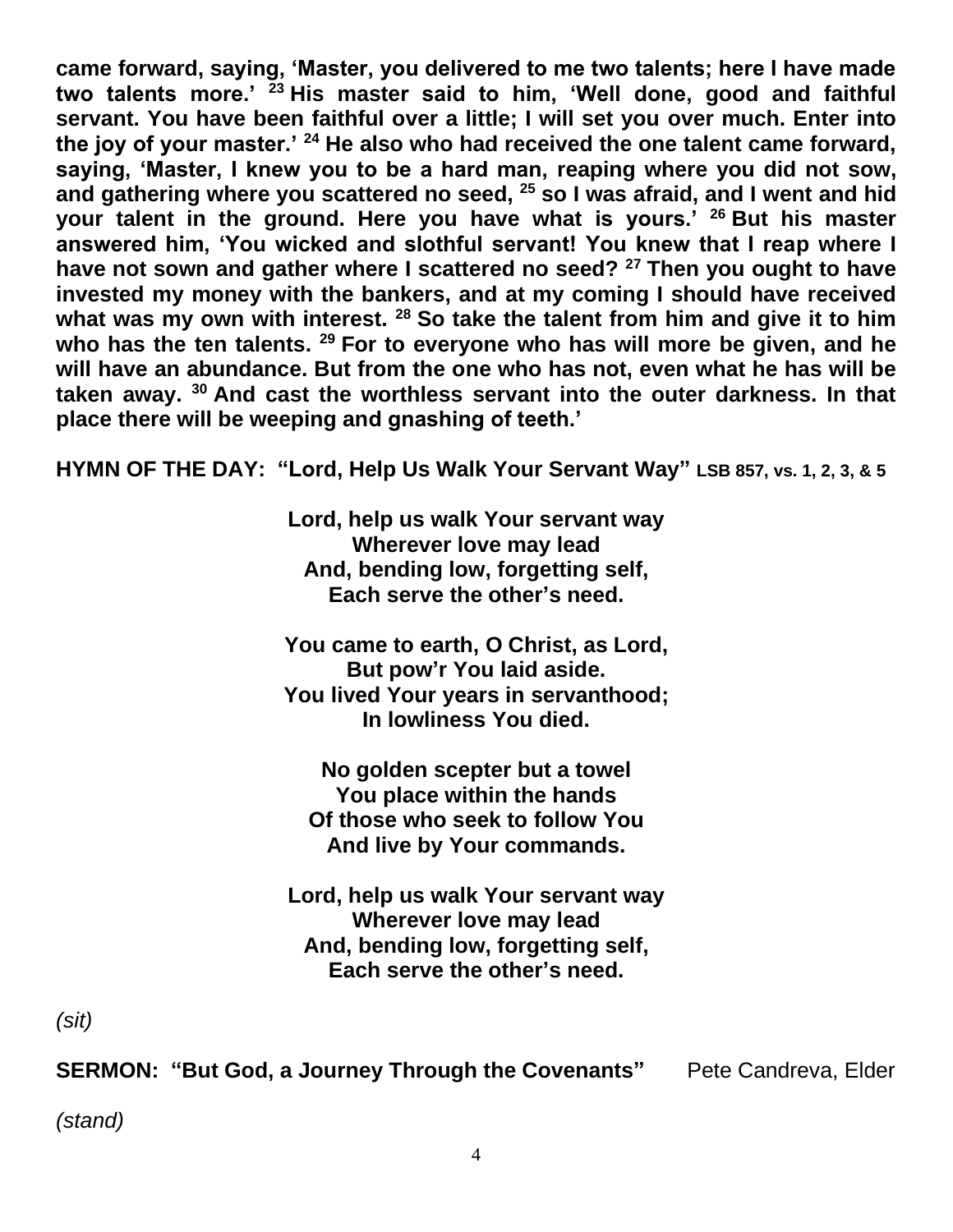**came forward, saying, 'Master, you delivered to me two talents; here I have made two talents more.' <sup>23</sup> His master said to him, 'Well done, good and faithful servant. You have been faithful over a little; I will set you over much. Enter into the joy of your master.' <sup>24</sup> He also who had received the one talent came forward, saying, 'Master, I knew you to be a hard man, reaping where you did not sow, and gathering where you scattered no seed, <sup>25</sup> so I was afraid, and I went and hid your talent in the ground. Here you have what is yours.' <sup>26</sup> But his master answered him, 'You wicked and slothful servant! You knew that I reap where I have not sown and gather where I scattered no seed? <sup>27</sup> Then you ought to have invested my money with the bankers, and at my coming I should have received what was my own with interest. <sup>28</sup> So take the talent from him and give it to him who has the ten talents. <sup>29</sup> For to everyone who has will more be given, and he will have an abundance. But from the one who has not, even what he has will be taken away. <sup>30</sup> And cast the worthless servant into the outer darkness. In that place there will be weeping and gnashing of teeth.'**

**HYMN OF THE DAY: "Lord, Help Us Walk Your Servant Way" LSB 857, vs. 1, 2, 3, & 5**

**Lord, help us walk Your servant way Wherever love may lead And, bending low, forgetting self, Each serve the other's need.**

**You came to earth, O Christ, as Lord, But pow'r You laid aside. You lived Your years in servanthood; In lowliness You died.**

**No golden scepter but a towel You place within the hands Of those who seek to follow You And live by Your commands.**

**Lord, help us walk Your servant way Wherever love may lead And, bending low, forgetting self, Each serve the other's need.**

*(sit)*

**SERMON: "But God, a Journey Through the Covenants"** Pete Candreva, Elder

*(stand)*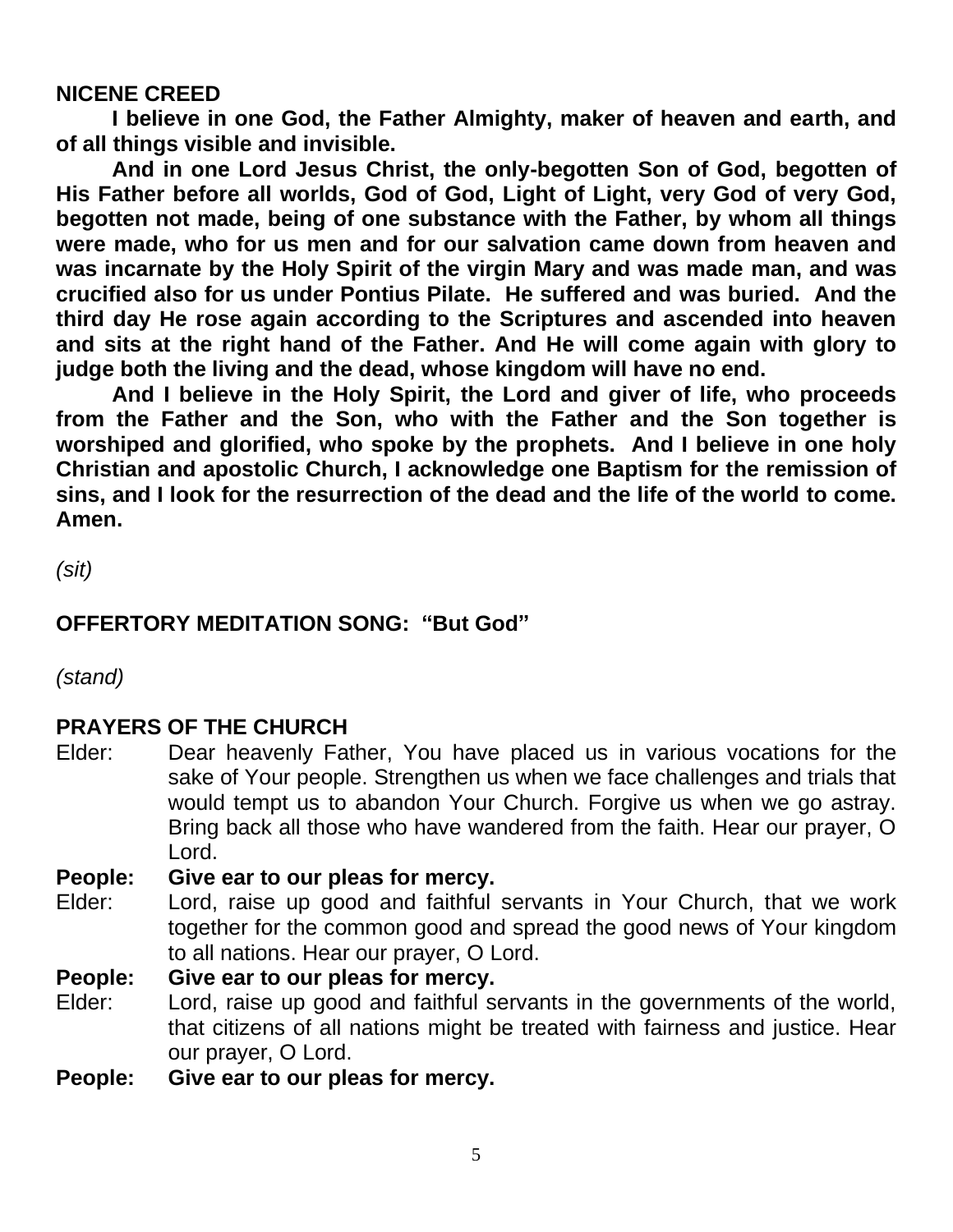#### **NICENE CREED**

**I believe in one God, the Father Almighty, maker of heaven and earth, and of all things visible and invisible.**

**And in one Lord Jesus Christ, the only-begotten Son of God, begotten of His Father before all worlds, God of God, Light of Light, very God of very God, begotten not made, being of one substance with the Father, by whom all things were made, who for us men and for our salvation came down from heaven and was incarnate by the Holy Spirit of the virgin Mary and was made man, and was crucified also for us under Pontius Pilate. He suffered and was buried. And the third day He rose again according to the Scriptures and ascended into heaven and sits at the right hand of the Father. And He will come again with glory to judge both the living and the dead, whose kingdom will have no end.**

**And I believe in the Holy Spirit, the Lord and giver of life, who proceeds from the Father and the Son, who with the Father and the Son together is worshiped and glorified, who spoke by the prophets. And I believe in one holy Christian and apostolic Church, I acknowledge one Baptism for the remission of sins, and I look for the resurrection of the dead and the life of the world to come. Amen.**

*(sit)*

#### **OFFERTORY MEDITATION SONG: "But God"**

*(stand)*

#### **PRAYERS OF THE CHURCH**

Elder: Dear heavenly Father, You have placed us in various vocations for the sake of Your people. Strengthen us when we face challenges and trials that would tempt us to abandon Your Church. Forgive us when we go astray. Bring back all those who have wandered from the faith. Hear our prayer, O Lord.

#### **People: Give ear to our pleas for mercy.**

Elder: Lord, raise up good and faithful servants in Your Church, that we work together for the common good and spread the good news of Your kingdom to all nations. Hear our prayer, O Lord.

**People: Give ear to our pleas for mercy.**

- Elder: Lord, raise up good and faithful servants in the governments of the world, that citizens of all nations might be treated with fairness and justice. Hear our prayer, O Lord.
- **People: Give ear to our pleas for mercy.**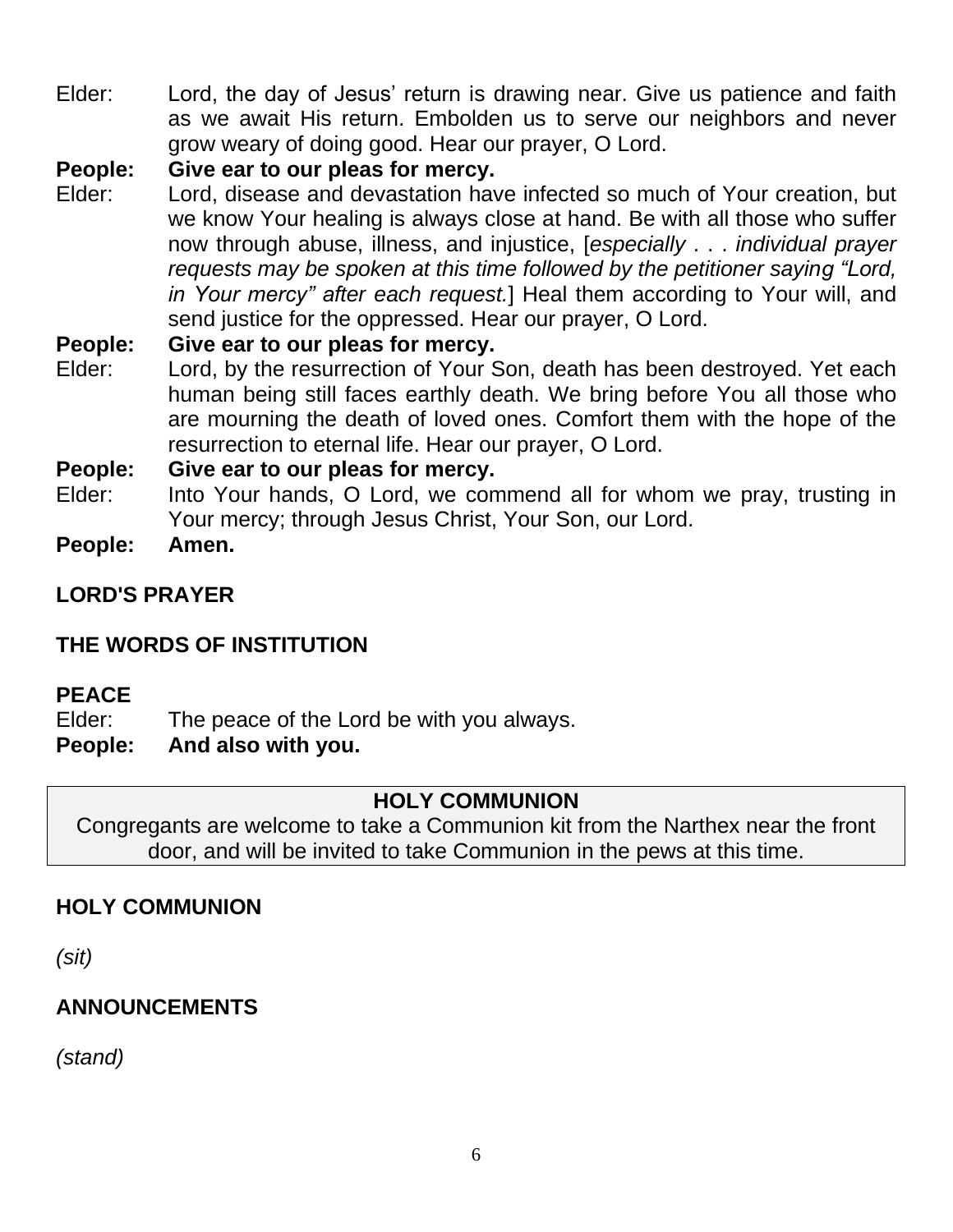Elder: Lord, the day of Jesus' return is drawing near. Give us patience and faith as we await His return. Embolden us to serve our neighbors and never grow weary of doing good. Hear our prayer, O Lord.

#### **People: Give ear to our pleas for mercy.**

Elder: Lord, disease and devastation have infected so much of Your creation, but we know Your healing is always close at hand. Be with all those who suffer now through abuse, illness, and injustice, [*especially* . . . *individual prayer requests may be spoken at this time followed by the petitioner saying "Lord, in Your mercy" after each request.*] Heal them according to Your will, and send justice for the oppressed. Hear our prayer, O Lord.

#### **People: Give ear to our pleas for mercy.**

Elder: Lord, by the resurrection of Your Son, death has been destroyed. Yet each human being still faces earthly death. We bring before You all those who are mourning the death of loved ones. Comfort them with the hope of the resurrection to eternal life. Hear our prayer, O Lord.

#### **People: Give ear to our pleas for mercy.**

- Elder: Into Your hands, O Lord, we commend all for whom we pray, trusting in Your mercy; through Jesus Christ, Your Son, our Lord.
- **People: Amen.**
- **LORD'S PRAYER**

#### **THE WORDS OF INSTITUTION**

#### **PEACE**

- Elder: The peace of the Lord be with you always.
- **People: And also with you.**

#### **HOLY COMMUNION**

Congregants are welcome to take a Communion kit from the Narthex near the front door, and will be invited to take Communion in the pews at this time.

#### **HOLY COMMUNION**

*(sit)*

#### **ANNOUNCEMENTS**

*(stand)*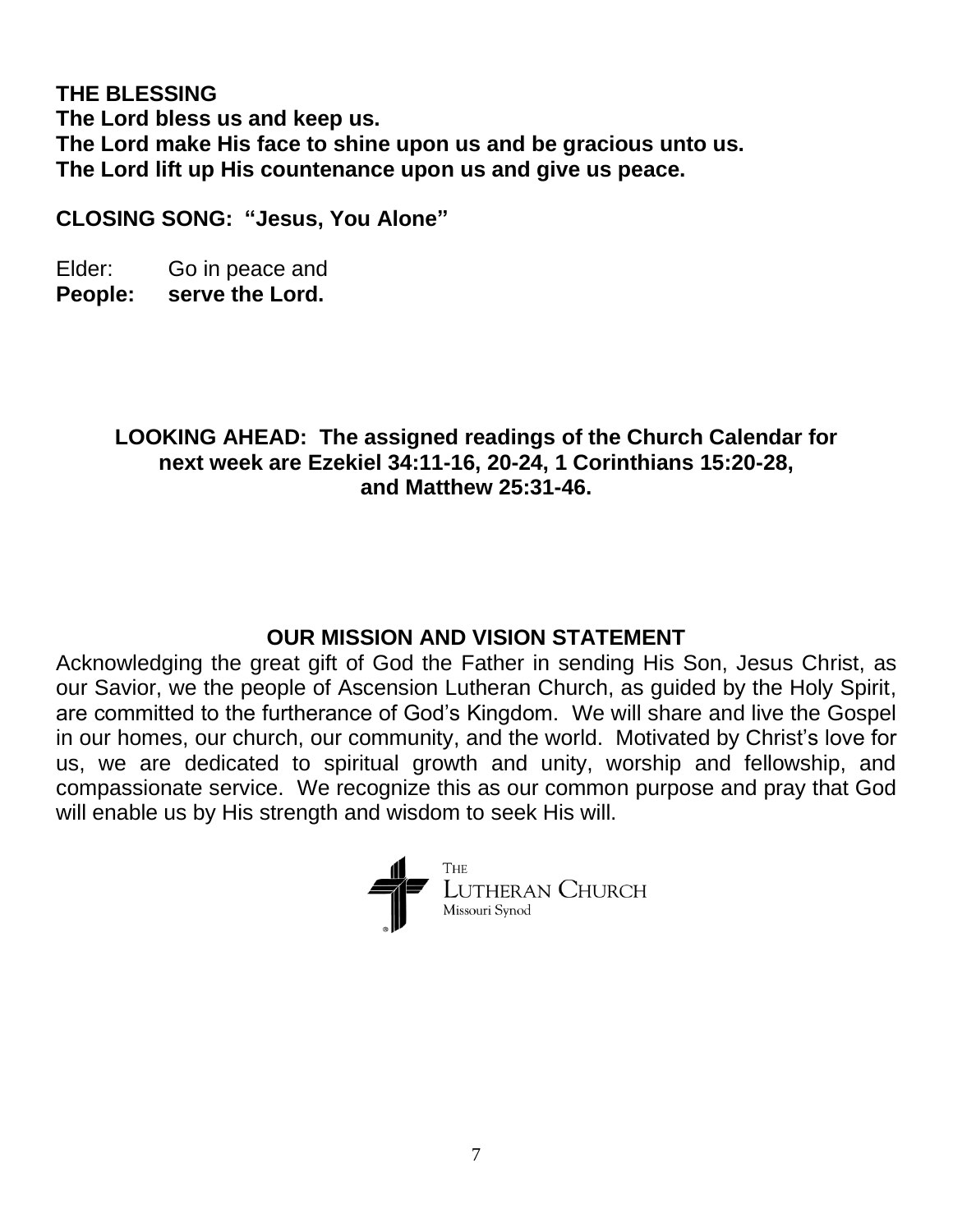**THE BLESSING The Lord bless us and keep us. The Lord make His face to shine upon us and be gracious unto us. The Lord lift up His countenance upon us and give us peace.** 

**CLOSING SONG: "Jesus, You Alone"**

Elder: Go in peace and **People: serve the Lord.**

#### **LOOKING AHEAD: The assigned readings of the Church Calendar for next week are Ezekiel 34:11-16, 20-24, 1 Corinthians 15:20-28, and Matthew 25:31-46.**

#### **OUR MISSION AND VISION STATEMENT**

Acknowledging the great gift of God the Father in sending His Son, Jesus Christ, as our Savior, we the people of Ascension Lutheran Church, as guided by the Holy Spirit, are committed to the furtherance of God's Kingdom. We will share and live the Gospel in our homes, our church, our community, and the world. Motivated by Christ's love for us, we are dedicated to spiritual growth and unity, worship and fellowship, and compassionate service. We recognize this as our common purpose and pray that God will enable us by His strength and wisdom to seek His will.

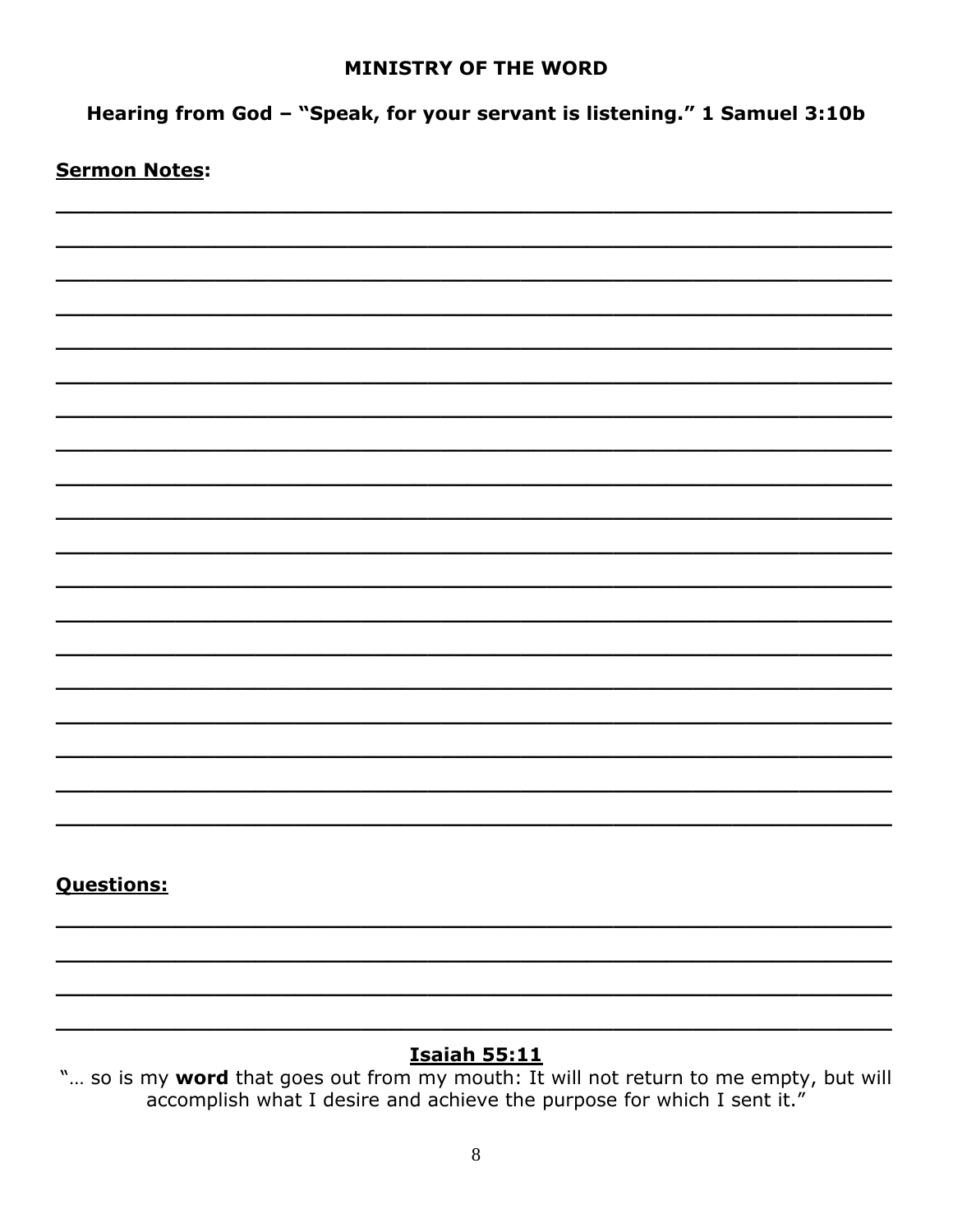#### **MINISTRY OF THE WORD**

Hearing from God - "Speak, for your servant is listening." 1 Samuel 3:10b

#### **Sermon Notes:**

#### **Questions:**

#### **Isaiah 55:11**

"... so is my word that goes out from my mouth: It will not return to me empty, but will accomplish what I desire and achieve the purpose for which I sent it."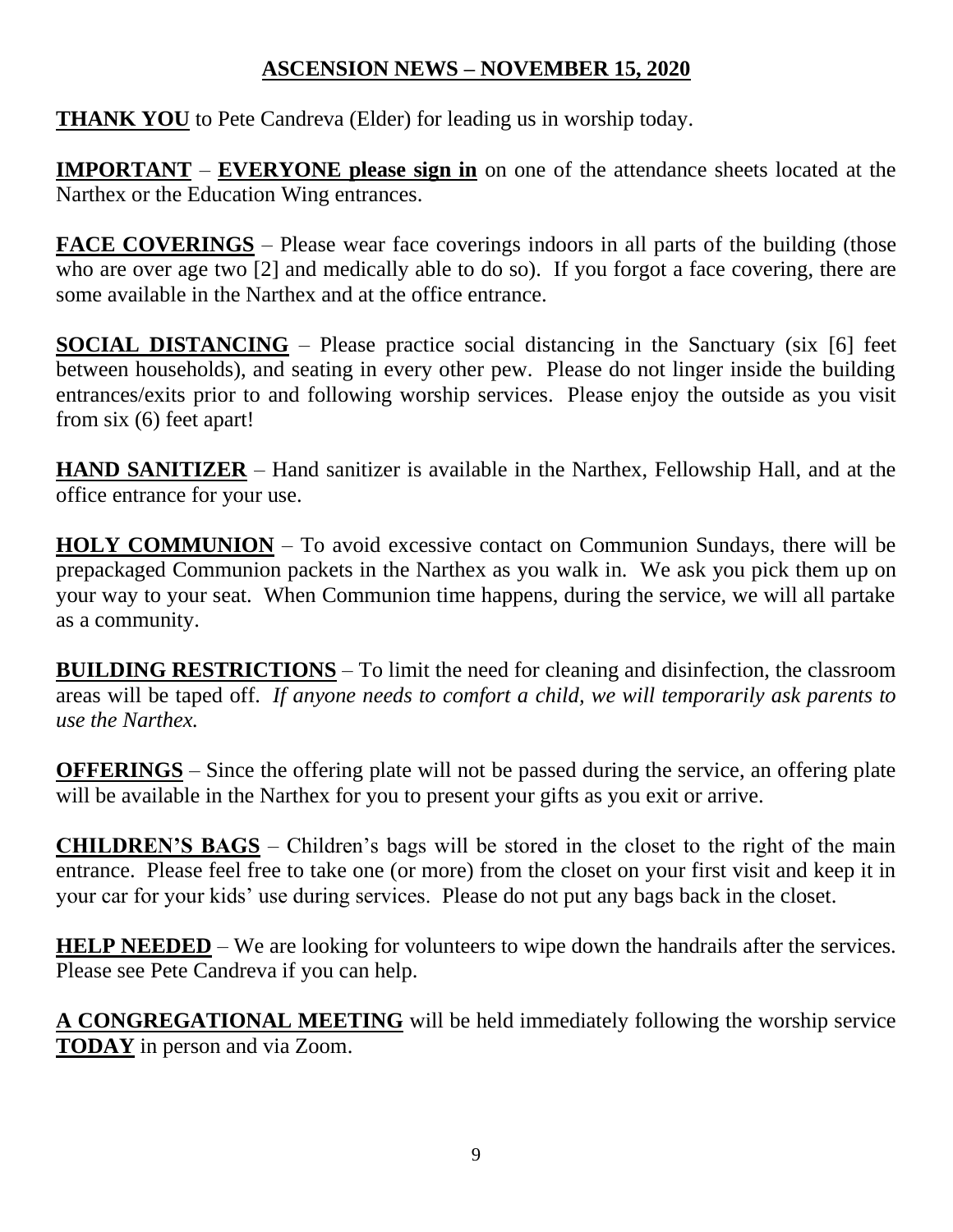#### **ASCENSION NEWS – NOVEMBER 15, 2020**

**THANK YOU** to Pete Candreva (Elder) for leading us in worship today.

**IMPORTANT** – **EVERYONE please sign in** on one of the attendance sheets located at the Narthex or the Education Wing entrances.

**FACE COVERINGS** – Please wear face coverings indoors in all parts of the building (those who are over age two [2] and medically able to do so). If you forgot a face covering, there are some available in the Narthex and at the office entrance.

**SOCIAL DISTANCING** – Please practice social distancing in the Sanctuary (six [6] feet between households), and seating in every other pew. Please do not linger inside the building entrances/exits prior to and following worship services. Please enjoy the outside as you visit from six (6) feet apart!

**HAND SANITIZER** – Hand sanitizer is available in the Narthex, Fellowship Hall, and at the office entrance for your use.

**HOLY COMMUNION** – To avoid excessive contact on Communion Sundays, there will be prepackaged Communion packets in the Narthex as you walk in. We ask you pick them up on your way to your seat. When Communion time happens, during the service, we will all partake as a community.

**BUILDING RESTRICTIONS** – To limit the need for cleaning and disinfection, the classroom areas will be taped off. *If anyone needs to comfort a child, we will temporarily ask parents to use the Narthex.*

**OFFERINGS** – Since the offering plate will not be passed during the service, an offering plate will be available in the Narthex for you to present your gifts as you exit or arrive.

**CHILDREN'S BAGS** – Children's bags will be stored in the closet to the right of the main entrance. Please feel free to take one (or more) from the closet on your first visit and keep it in your car for your kids' use during services. Please do not put any bags back in the closet.

**HELP NEEDED** – We are looking for volunteers to wipe down the handrails after the services. Please see Pete Candreva if you can help.

**A CONGREGATIONAL MEETING** will be held immediately following the worship service **TODAY** in person and via Zoom.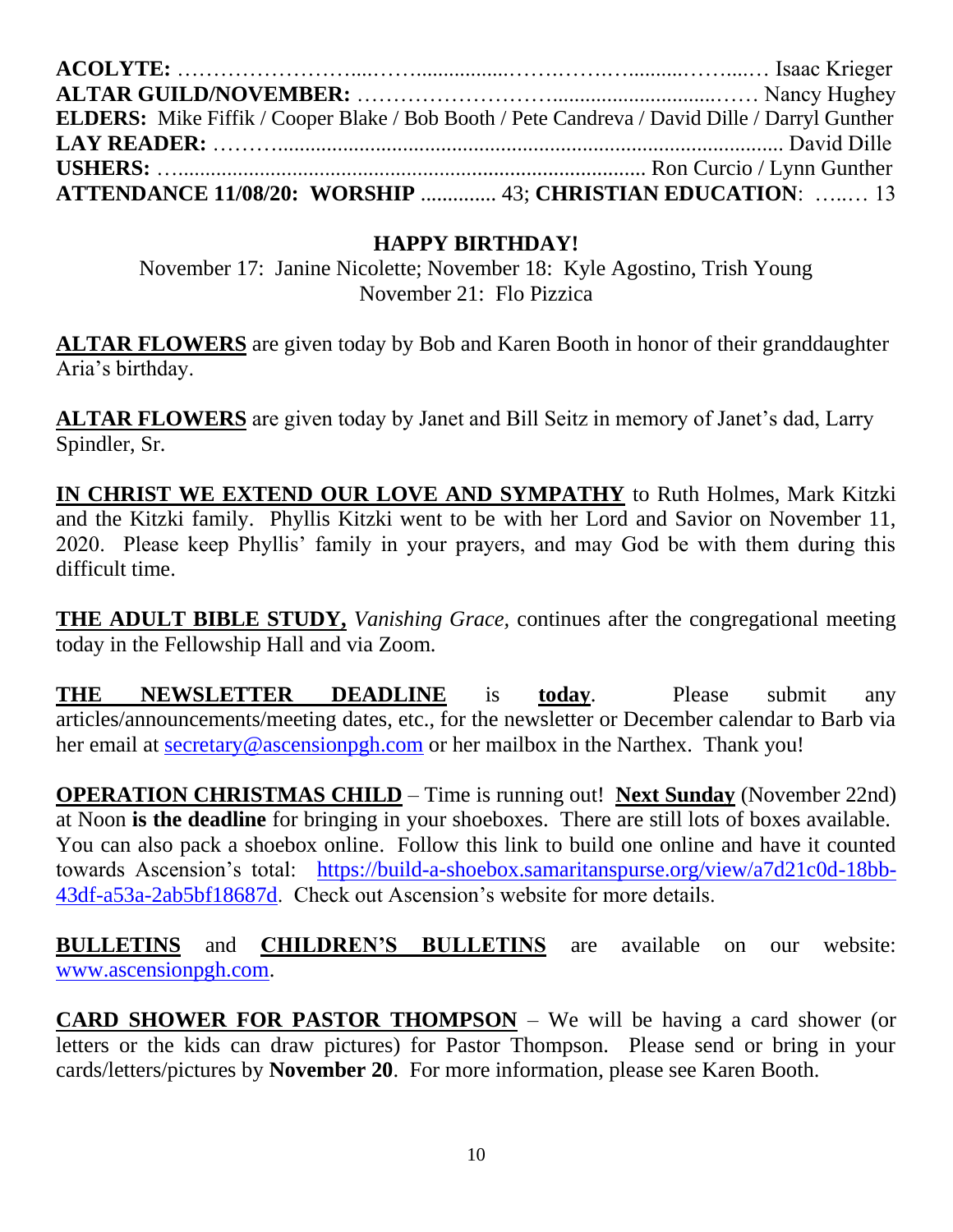| <b>ELDERS:</b> Mike Fiffik / Cooper Blake / Bob Booth / Pete Candreva / David Dille / Darryl Gunther |  |
|------------------------------------------------------------------------------------------------------|--|
|                                                                                                      |  |
|                                                                                                      |  |
| ATTENDANCE 11/08/20: WORSHIP  43; CHRISTIAN EDUCATION:  13                                           |  |

#### **HAPPY BIRTHDAY!**

November 17: Janine Nicolette; November 18: Kyle Agostino, Trish Young November 21: Flo Pizzica

**ALTAR FLOWERS** are given today by Bob and Karen Booth in honor of their granddaughter Aria's birthday.

**ALTAR FLOWERS** are given today by Janet and Bill Seitz in memory of Janet's dad, Larry Spindler, Sr.

**IN CHRIST WE EXTEND OUR LOVE AND SYMPATHY** to Ruth Holmes, Mark Kitzki and the Kitzki family. Phyllis Kitzki went to be with her Lord and Savior on November 11, 2020. Please keep Phyllis' family in your prayers, and may God be with them during this difficult time.

**THE ADULT BIBLE STUDY,** *Vanishing Grace,* continues after the congregational meeting today in the Fellowship Hall and via Zoom.

**THE NEWSLETTER DEADLINE** is **today**. Please submit any articles/announcements/meeting dates, etc., for the newsletter or December calendar to Barb via her email at [secretary@ascensionpgh.com](mailto:secretary@ascensionpgh.com) or her mailbox in the Narthex. Thank you!

**OPERATION CHRISTMAS CHILD** – Time is running out! **Next Sunday** (November 22nd) at Noon **is the deadline** for bringing in your shoeboxes. There are still lots of boxes available. You can also pack a shoebox online. Follow this link to build one online and have it counted towards Ascension's total: [https://build-a-shoebox.samaritanspurse.org/view/a7d21c0d-18bb-](https://build-a-shoebox.samaritanspurse.org/view/a7d21c0d-18bb-43df-a53a-2ab5bf18687d)[43df-a53a-2ab5bf18687d.](https://build-a-shoebox.samaritanspurse.org/view/a7d21c0d-18bb-43df-a53a-2ab5bf18687d) Check out Ascension's website for more details.

**BULLETINS** and **CHILDREN'S BULLETINS** are available on our website: [www.ascensionpgh.com.](http://www.ascensionpgh.com/)

**CARD SHOWER FOR PASTOR THOMPSON** – We will be having a card shower (or letters or the kids can draw pictures) for Pastor Thompson. Please send or bring in your cards/letters/pictures by **November 20**. For more information, please see Karen Booth.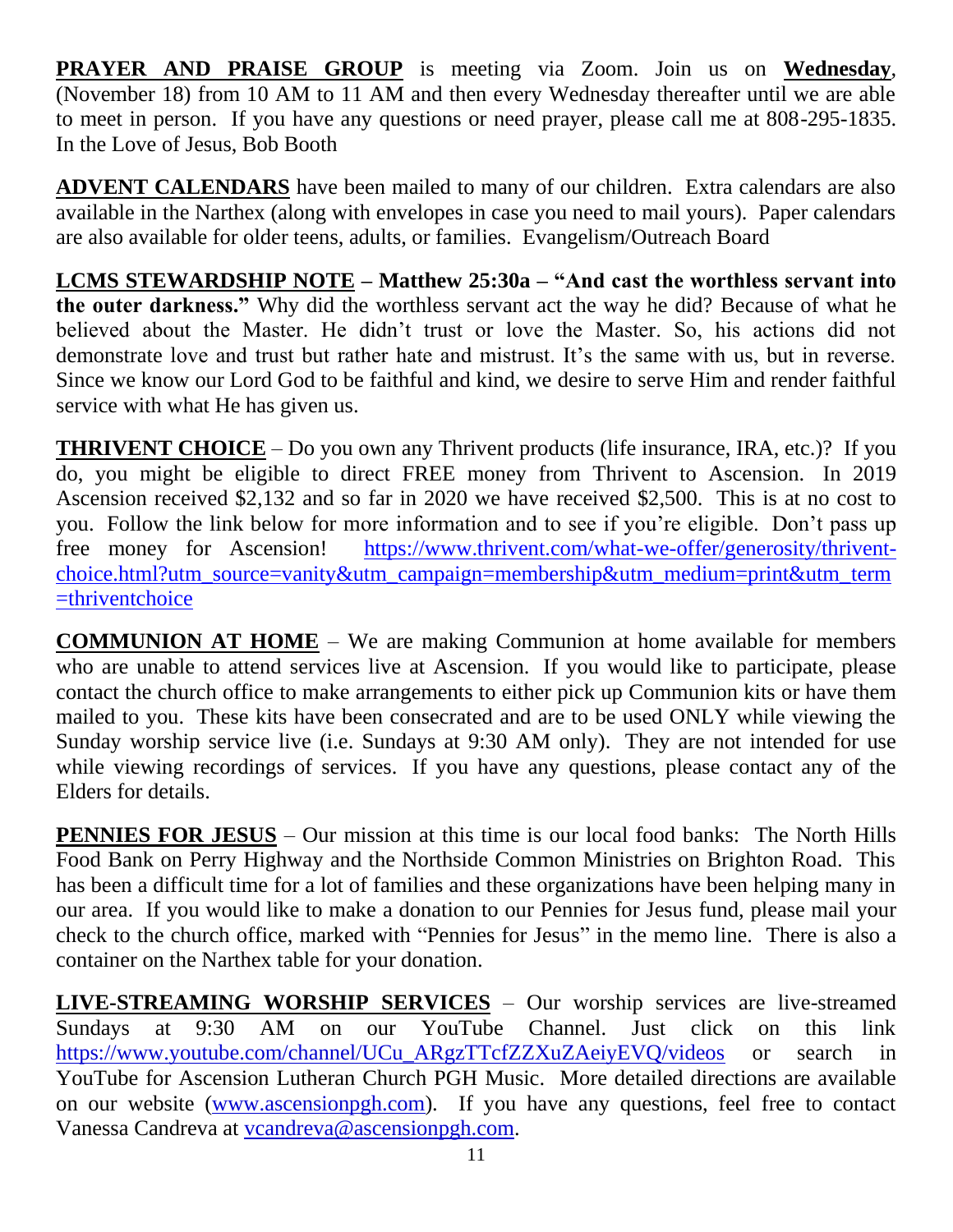**PRAYER AND PRAISE GROUP** is meeting via Zoom. Join us on **Wednesday**, (November 18) from 10 AM to 11 AM and then every Wednesday thereafter until we are able to meet in person. If you have any questions or need prayer, please call me at 808-295-1835. In the Love of Jesus, Bob Booth

**ADVENT CALENDARS** have been mailed to many of our children. Extra calendars are also available in the Narthex (along with envelopes in case you need to mail yours). Paper calendars are also available for older teens, adults, or families. Evangelism/Outreach Board

**LCMS STEWARDSHIP NOTE – Matthew 25:30a – "And cast the worthless servant into the outer darkness."** Why did the worthless servant act the way he did? Because of what he believed about the Master. He didn't trust or love the Master. So, his actions did not demonstrate love and trust but rather hate and mistrust. It's the same with us, but in reverse. Since we know our Lord God to be faithful and kind, we desire to serve Him and render faithful service with what He has given us.

**THRIVENT CHOICE** – Do you own any Thrivent products (life insurance, IRA, etc.)? If you do, you might be eligible to direct FREE money from Thrivent to Ascension. In 2019 Ascension received \$2,132 and so far in 2020 we have received \$2,500. This is at no cost to you. Follow the link below for more information and to see if you're eligible. Don't pass up free money for Ascension! [https://www.thrivent.com/what-we-offer/generosity/thrivent](https://www.thrivent.com/what-we-offer/generosity/thrivent-choice.html?utm_source=vanity&utm_campaign=membership&utm_medium=print&utm_term=thriventchoice)[choice.html?utm\\_source=vanity&utm\\_campaign=membership&utm\\_medium=print&utm\\_term](https://www.thrivent.com/what-we-offer/generosity/thrivent-choice.html?utm_source=vanity&utm_campaign=membership&utm_medium=print&utm_term=thriventchoice) [=thriventchoice](https://www.thrivent.com/what-we-offer/generosity/thrivent-choice.html?utm_source=vanity&utm_campaign=membership&utm_medium=print&utm_term=thriventchoice)

**COMMUNION AT HOME** – We are making Communion at home available for members who are unable to attend services live at Ascension. If you would like to participate, please contact the church office to make arrangements to either pick up Communion kits or have them mailed to you. These kits have been consecrated and are to be used ONLY while viewing the Sunday worship service live (i.e. Sundays at 9:30 AM only). They are not intended for use while viewing recordings of services. If you have any questions, please contact any of the Elders for details.

**PENNIES FOR JESUS** – Our mission at this time is our local food banks: The North Hills Food Bank on Perry Highway and the Northside Common Ministries on Brighton Road. This has been a difficult time for a lot of families and these organizations have been helping many in our area. If you would like to make a donation to our Pennies for Jesus fund, please mail your check to the church office, marked with "Pennies for Jesus" in the memo line. There is also a container on the Narthex table for your donation.

**LIVE-STREAMING WORSHIP SERVICES** – Our worship services are live-streamed Sundays at 9:30 AM on our YouTube Channel. Just click on this link [https://www.youtube.com/channel/UCu\\_ARgzTTcfZZXuZAeiyEVQ/videos](https://www.youtube.com/channel/UCu_ARgzTTcfZZXuZAeiyEVQ/videos) or search in YouTube for Ascension Lutheran Church PGH Music. More detailed directions are available on our website [\(www.ascensionpgh.com\)](http://www.ascensionpgh.com/). If you have any questions, feel free to contact Vanessa Candreva at [vcandreva@ascensionpgh.com.](mailto:vcandreva@ascensionpgh.com)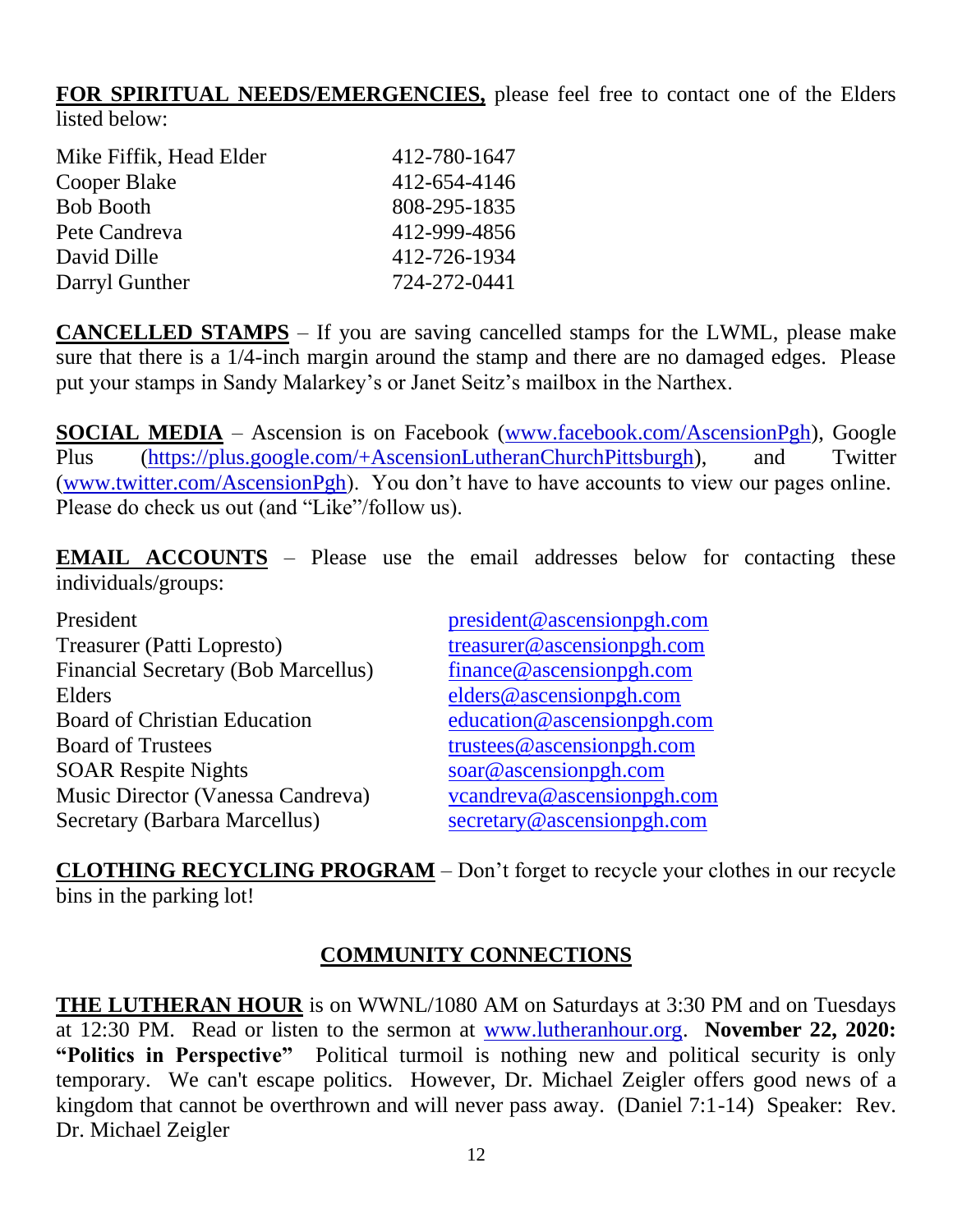**FOR SPIRITUAL NEEDS/EMERGENCIES,** please feel free to contact one of the Elders listed below:

| 412-780-1647 |
|--------------|
| 412-654-4146 |
| 808-295-1835 |
| 412-999-4856 |
| 412-726-1934 |
| 724-272-0441 |
|              |

**CANCELLED STAMPS** – If you are saving cancelled stamps for the LWML, please make sure that there is a 1/4-inch margin around the stamp and there are no damaged edges. Please put your stamps in Sandy Malarkey's or Janet Seitz's mailbox in the Narthex.

**SOCIAL MEDIA** – Ascension is on Facebook [\(www.facebook.com/AscensionPgh\)](http://www.facebook.com/AscensionPgh), Google Plus [\(https://plus.google.com/+AscensionLutheranChurchPittsburgh\)](https://plus.google.com/+AscensionLutheranChurchPittsburgh), and Twitter [\(www.twitter.com/AscensionPgh\)](http://www.twitter.com/AscensionPgh). You don't have to have accounts to view our pages online. Please do check us out (and "Like"/follow us).

**EMAIL ACCOUNTS** – Please use the email addresses below for contacting these individuals/groups:

| President                                  | president@ascensionpgh.com |
|--------------------------------------------|----------------------------|
| Treasurer (Patti Lopresto)                 | treasurer@ascensionpgh.com |
| <b>Financial Secretary (Bob Marcellus)</b> | finance@ascensionpgh.com   |
| Elders                                     | elders@ascensionpgh.com    |
| <b>Board of Christian Education</b>        | education@ascensionpgh.com |
| <b>Board of Trustees</b>                   | trustees@ascensionpgh.com  |
| <b>SOAR Respite Nights</b>                 | soar@ascensionpgh.com      |
| Music Director (Vanessa Candreva)          | vcandreva@ascensionpgh.com |
| Secretary (Barbara Marcellus)              | secretary@ascensionpgh.com |

**CLOTHING RECYCLING PROGRAM** – Don't forget to recycle your clothes in our recycle bins in the parking lot!

#### **COMMUNITY CONNECTIONS**

**THE LUTHERAN HOUR** is on WWNL/1080 AM on Saturdays at 3:30 PM and on Tuesdays at 12:30 PM. Read or listen to the sermon at [www.lutheranhour.org.](http://www.lutheranhour.org/) **November 22, 2020: "Politics in Perspective"** Political turmoil is nothing new and political security is only temporary. We can't escape politics. However, Dr. Michael Zeigler offers good news of a kingdom that cannot be overthrown and will never pass away. (Daniel 7:1-14) Speaker: Rev. Dr. Michael Zeigler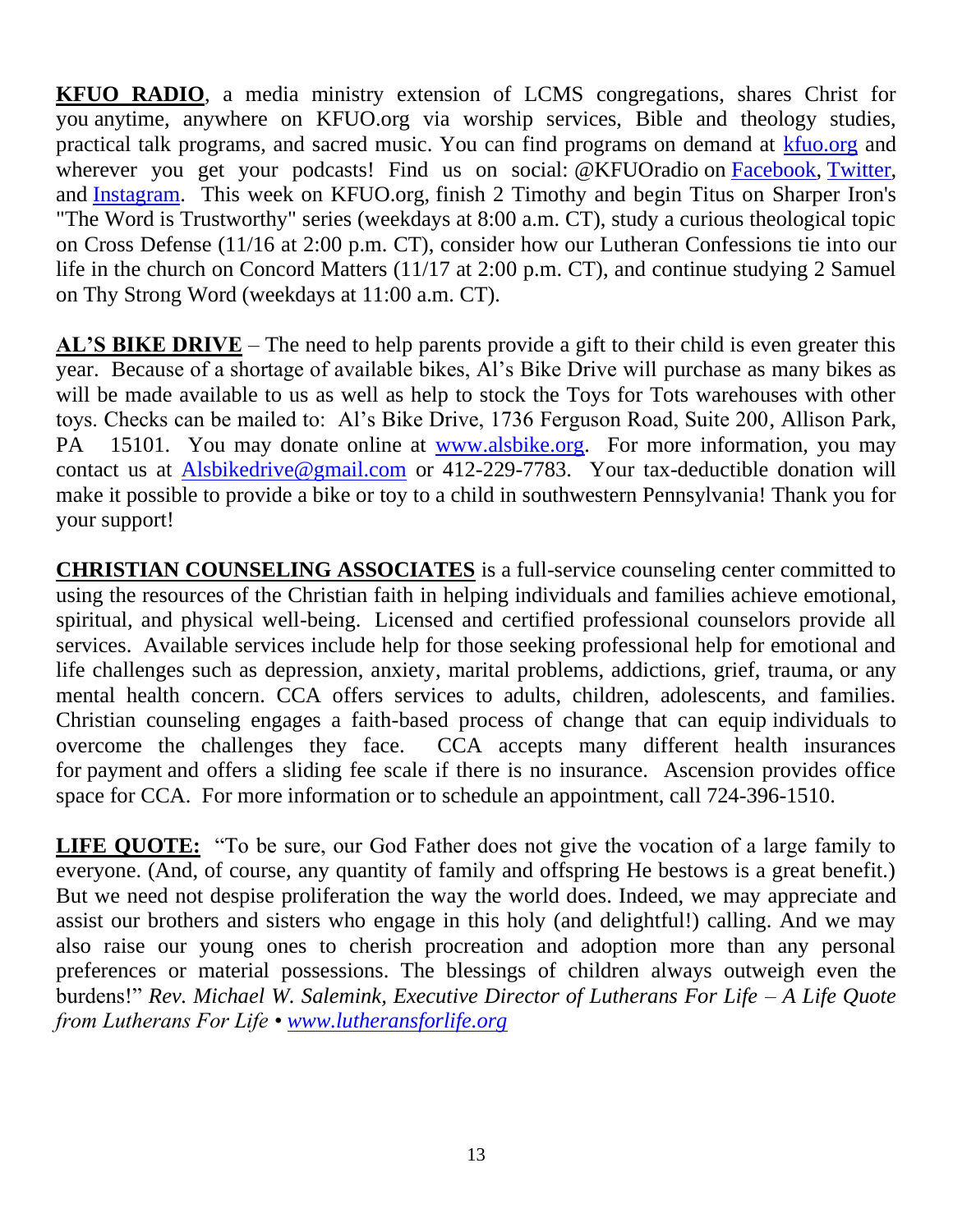**KFUO RADIO**, a media ministry extension of LCMS congregations, shares Christ for you anytime, anywhere on KFUO.org via worship services, Bible and theology studies, practical talk programs, and sacred music. You can find programs on demand at [kfuo.org](https://kfuo.us19.list-manage.com/track/click?u=54af661ed49340a315983cb13&id=6b18fb3975&e=70f15d3981) and wherever you get your podcasts! Find us on social: @KFUOradio on [Facebook,](https://kfuo.us19.list-manage.com/track/click?u=54af661ed49340a315983cb13&id=6e0aa68f93&e=70f15d3981) [Twitter,](https://kfuo.us19.list-manage.com/track/click?u=54af661ed49340a315983cb13&id=4eb50143c9&e=70f15d3981) and [Instagram.](https://kfuo.us19.list-manage.com/track/click?u=54af661ed49340a315983cb13&id=f77b7f535b&e=70f15d3981) This week on KFUO.org, finish 2 Timothy and begin Titus on Sharper Iron's "The Word is Trustworthy" series (weekdays at 8:00 a.m. CT), study a curious theological topic on Cross Defense (11/16 at 2:00 p.m. CT), consider how our Lutheran Confessions tie into our life in the church on Concord Matters (11/17 at 2:00 p.m. CT), and continue studying 2 Samuel on Thy Strong Word (weekdays at 11:00 a.m. CT).

**AL'S BIKE DRIVE** – The need to help parents provide a gift to their child is even greater this year. Because of a shortage of available bikes, Al's Bike Drive will purchase as many bikes as will be made available to us as well as help to stock the Toys for Tots warehouses with other toys. Checks can be mailed to: Al's Bike Drive, 1736 Ferguson Road, Suite 200, Allison Park, PA 15101. You may donate online at [www.alsbike.org.](http://www.alsbike.org/) For more information, you may contact us at [Alsbikedrive@gmail.com](mailto:Alsbikedrive@gmail.com) or 412-229-7783. Your tax-deductible donation will make it possible to provide a bike or toy to a child in southwestern Pennsylvania! Thank you for your support!

**CHRISTIAN COUNSELING ASSOCIATES** is a full-service counseling center committed to using the resources of the Christian faith in helping individuals and families achieve emotional, spiritual, and physical well-being. Licensed and certified professional counselors provide all services. Available services include help for those seeking professional help for emotional and life challenges such as depression, anxiety, marital problems, addictions, grief, trauma, or any mental health concern. CCA offers services to adults, children, adolescents, and families. Christian counseling engages a faith-based process of change that can equip individuals to overcome the challenges they face. CCA accepts many different health insurances for payment and offers a sliding fee scale if there is no insurance. Ascension provides office space for CCA. For more information or to schedule an appointment, call 724-396-1510.

**LIFE QUOTE:** "To be sure, our God Father does not give the vocation of a large family to everyone. (And, of course, any quantity of family and offspring He bestows is a great benefit.) But we need not despise proliferation the way the world does. Indeed, we may appreciate and assist our brothers and sisters who engage in this holy (and delightful!) calling. And we may also raise our young ones to cherish procreation and adoption more than any personal preferences or material possessions. The blessings of children always outweigh even the burdens!" *Rev. Michael W. Salemink, Executive Director of Lutherans For Life – A Life Quote from Lutherans For Life • [www.lutheransforlife.org](http://www.lutheransforlife.org/)*